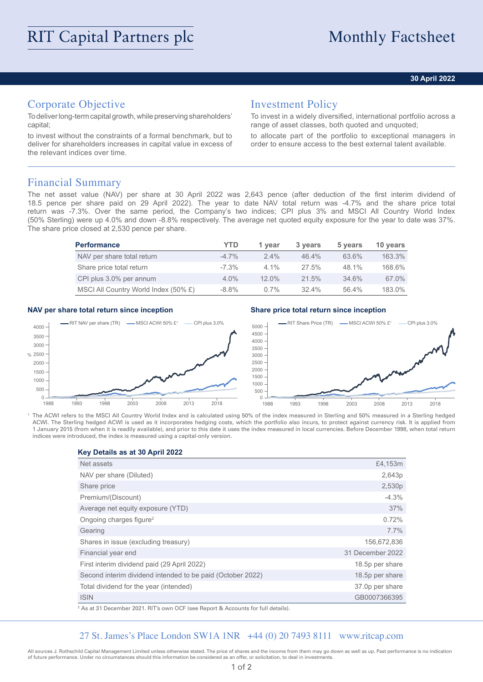### **30 April 2022**

## Corporate Objective

To deliver long-term capital growth, while preserving shareholders' capital;

to invest without the constraints of a formal benchmark, but to deliver for shareholders increases in capital value in excess of the relevant indices over time.

## Investment Policy

To invest in a widely diversified, international portfolio across a range of asset classes, both quoted and unquoted;

to allocate part of the portfolio to exceptional managers in order to ensure access to the best external talent available.

## Financial Summary

The net asset value (NAV) per share at 30 April 2022 was 2,643 pence (after deduction of the first interim dividend of 18.5 pence per share paid on 29 April 2022). The year to date NAV total return was -4.7% and the share price total return was -7.3%. Over the same period, the Company's two indices; CPI plus 3% and MSCI All Country World Index (50% Sterling) were up 4.0% and down -8.8% respectively. The average net quoted equity exposure for the year to date was 37%. The share price closed at 2,530 pence per share.

| <b>Performance</b>                   | YTD      | 1 vear   | 3 years  | 5 years  | 10 years |  |
|--------------------------------------|----------|----------|----------|----------|----------|--|
| NAV per share total return           | $-4.7\%$ | $2.4\%$  | $46.4\%$ | 63.6%    | 163.3%   |  |
| Share price total return             | $-7.3\%$ | $4.1\%$  | $27.5\%$ | 48.1%    | 168.6%   |  |
| CPI plus 3.0% per annum              | $4.0\%$  | $12.0\%$ | 21.5%    | 34.6%    | 67.0%    |  |
| MSCI All Country World Index (50% £) | $-8.8\%$ | $0.7\%$  | $32.4\%$ | $56.4\%$ | 183.0%   |  |

#### **NAV per share total return since inception Share price total return since inception**



1 The ACWI refers to the MSCI All Country World Index and is calculated using 50% of the index measured in Sterling and 50% measured in a Sterling hedged ACWI. The Sterling hedged ACWI is used as it incorporates hedging costs, which the portfolio also incurs, to protect against currency risk. It is applied from 1 January 2015 (from when it is readily available), and prior to this date it uses the index measured in local currencies. Before December 1998, when total return indices were introduced, the index is measured using a capital-only version.

**Key Details as at 30 April 2022**

| Net assets                                                 | £4,153m          |
|------------------------------------------------------------|------------------|
| NAV per share (Diluted)                                    | 2,643p           |
| Share price                                                | 2,530p           |
| Premium/(Discount)                                         | $-4.3%$          |
| Average net equity exposure (YTD)                          | 37%              |
| Ongoing charges figure <sup>2</sup>                        | 0.72%            |
| Gearing                                                    | $7.7\%$          |
| Shares in issue (excluding treasury)                       | 156,672,836      |
| Financial year end                                         | 31 December 2022 |
| First interim dividend paid (29 April 2022)                | 18.5p per share  |
| Second interim dividend intended to be paid (October 2022) | 18.5p per share  |
| Total dividend for the year (intended)                     | 37.0p per share  |
| <b>ISIN</b>                                                | GB0007366395     |

 $^2$  As at 31 December 2021. RIT's own OCF (see Report & Accounts for full details).

### 27 St. James's Place London SW1A 1NR +44 (0) 20 7493 8111 www.ritcap.com

All sources J. Rothschild Capital Management Limited unless otherwise stated. The price of shares and the income from them may go down as well as up. Past performance is no indication of future performance. Under no circumstances should this information be considered as an offer, or solicitation, to deal in investments.